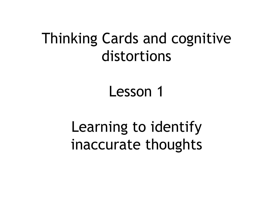## Thinking Cards and cognitive distortions

Lesson 1

Learning to identify inaccurate thoughts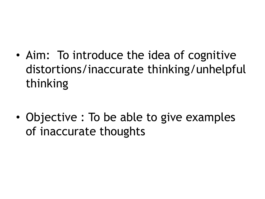• Aim: To introduce the idea of cognitive distortions/inaccurate thinking/unhelpful thinking

• Objective : To be able to give examples of inaccurate thoughts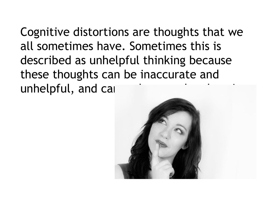Cognitive distortions are thoughts that we all sometimes have. Sometimes this is described as unhelpful thinking because these thoughts can be inaccurate and unhelpful, and can

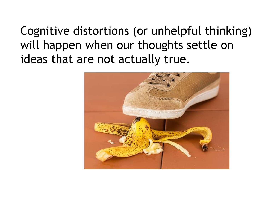Cognitive distortions (or unhelpful thinking) will happen when our thoughts settle on ideas that are not actually true.

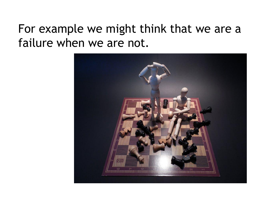#### For example we might think that we are a failure when we are not.

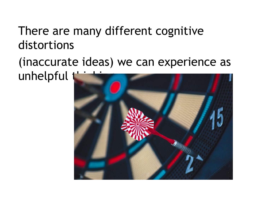#### There are many different cognitive distortions

#### (inaccurate ideas) we can experience as unhelpful

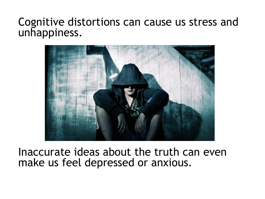#### Cognitive distortions can cause us stress and unhappiness.



Inaccurate ideas about the truth can even make us feel depressed or anxious.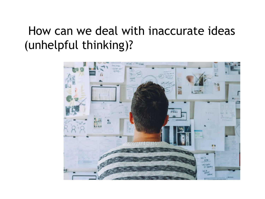## How can we deal with inaccurate ideas (unhelpful thinking)?

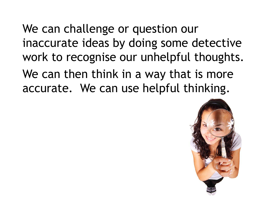We can challenge or question our inaccurate ideas by doing some detective work to recognise our unhelpful thoughts. We can then think in a way that is more accurate. We can use helpful thinking.

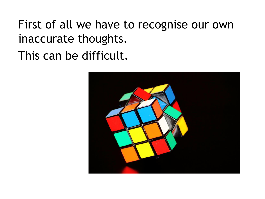First of all we have to recognise our own inaccurate thoughts. This can be difficult.

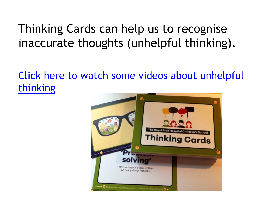## Thinking Cards can help us to recognise inaccurate thoughts (unhelpful thinking).

#### Click here to watch some videos about unhelpful thinking

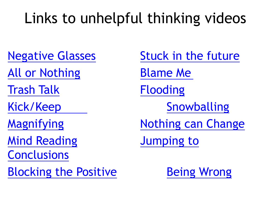# Links to unhelpful thinking videos

All or Nothing Blame Me

Trash Talk Flooding

Mind Reading Tumping to

**Conclusions** 

Blocking the Positive **Being Wrong** 

Negative Glasses Stuck in the future Kick/Keep Snowballing Magnifying **Nothing can Change**